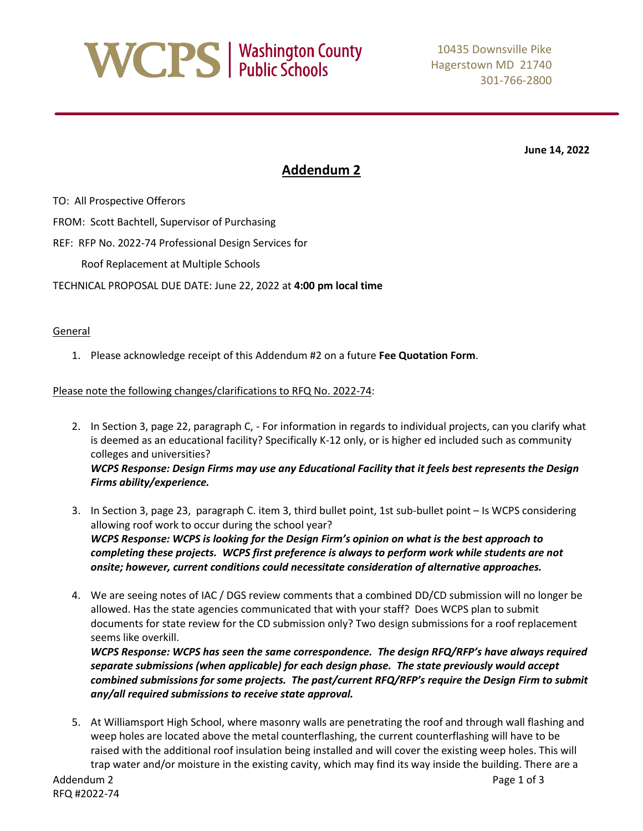

**June 14, 2022**

### **Addendum 2**

TO: All Prospective Offerors

FROM: Scott Bachtell, Supervisor of Purchasing

REF: RFP No. 2022-74 Professional Design Services for

Roof Replacement at Multiple Schools

TECHNICAL PROPOSAL DUE DATE: June 22, 2022 at **4:00 pm local time**

#### General

1. Please acknowledge receipt of this Addendum #2 on a future **Fee Quotation Form**.

#### Please note the following changes/clarifications to RFQ No. 2022-74:

- 2. In Section 3, page 22, paragraph C, For information in regards to individual projects, can you clarify what is deemed as an educational facility? Specifically K-12 only, or is higher ed included such as community colleges and universities? *WCPS Response: Design Firms may use any Educational Facility that it feels best represents the Design Firms ability/experience.*
- 3. In Section 3, page 23, paragraph C. item 3, third bullet point, 1st sub-bullet point Is WCPS considering allowing roof work to occur during the school year? *WCPS Response: WCPS is looking for the Design Firm's opinion on what is the best approach to completing these projects. WCPS first preference is always to perform work while students are not onsite; however, current conditions could necessitate consideration of alternative approaches.*
- 4. We are seeing notes of IAC / DGS review comments that a combined DD/CD submission will no longer be allowed. Has the state agencies communicated that with your staff? Does WCPS plan to submit documents for state review for the CD submission only? Two design submissions for a roof replacement seems like overkill.

*WCPS Response: WCPS has seen the same correspondence. The design RFQ/RFP's have always required separate submissions (when applicable) for each design phase. The state previously would accept combined submissions for some projects. The past/current RFQ/RFP's require the Design Firm to submit any/all required submissions to receive state approval.* 

5. At Williamsport High School, where masonry walls are penetrating the roof and through wall flashing and weep holes are located above the metal counterflashing, the current counterflashing will have to be raised with the additional roof insulation being installed and will cover the existing weep holes. This will trap water and/or moisture in the existing cavity, which may find its way inside the building. There are a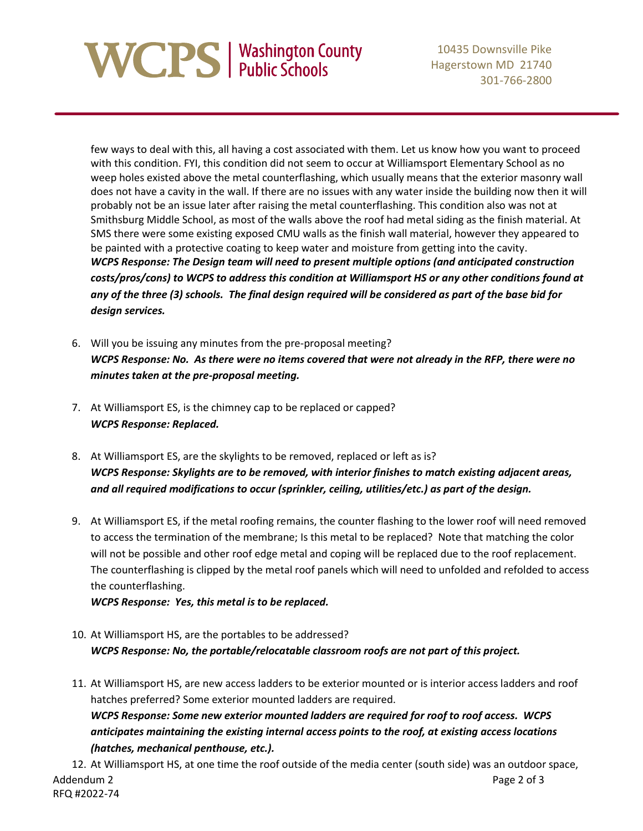# **NCPS** | Washington County

10435 Downsville Pike Hagerstown MD 21740 301-766-2800

few ways to deal with this, all having a cost associated with them. Let us know how you want to proceed with this condition. FYI, this condition did not seem to occur at Williamsport Elementary School as no weep holes existed above the metal counterflashing, which usually means that the exterior masonry wall does not have a cavity in the wall. If there are no issues with any water inside the building now then it will probably not be an issue later after raising the metal counterflashing. This condition also was not at Smithsburg Middle School, as most of the walls above the roof had metal siding as the finish material. At SMS there were some existing exposed CMU walls as the finish wall material, however they appeared to be painted with a protective coating to keep water and moisture from getting into the cavity. *WCPS Response: The Design team will need to present multiple options (and anticipated construction costs/pros/cons) to WCPS to address this condition at Williamsport HS or any other conditions found at any of the three (3) schools. The final design required will be considered as part of the base bid for design services.*

- 6. Will you be issuing any minutes from the pre-proposal meeting? *WCPS Response: No. As there were no items covered that were not already in the RFP, there were no minutes taken at the pre-proposal meeting.*
- 7. At Williamsport ES, is the chimney cap to be replaced or capped? *WCPS Response: Replaced.*
- 8. At Williamsport ES, are the skylights to be removed, replaced or left as is? *WCPS Response: Skylights are to be removed, with interior finishes to match existing adjacent areas, and all required modifications to occur (sprinkler, ceiling, utilities/etc.) as part of the design.*
- 9. At Williamsport ES, if the metal roofing remains, the counter flashing to the lower roof will need removed to access the termination of the membrane; Is this metal to be replaced? Note that matching the color will not be possible and other roof edge metal and coping will be replaced due to the roof replacement. The counterflashing is clipped by the metal roof panels which will need to unfolded and refolded to access the counterflashing.

*WCPS Response: Yes, this metal is to be replaced.*

- 10. At Williamsport HS, are the portables to be addressed? *WCPS Response: No, the portable/relocatable classroom roofs are not part of this project.*
- 11. At Williamsport HS, are new access ladders to be exterior mounted or is interior access ladders and roof hatches preferred? Some exterior mounted ladders are required. *WCPS Response: Some new exterior mounted ladders are required for roof to roof access. WCPS anticipates maintaining the existing internal access points to the roof, at existing access locations (hatches, mechanical penthouse, etc.).*

Addendum 2 **Page 2 of 3** RFQ #2022-74 12. At Williamsport HS, at one time the roof outside of the media center (south side) was an outdoor space,